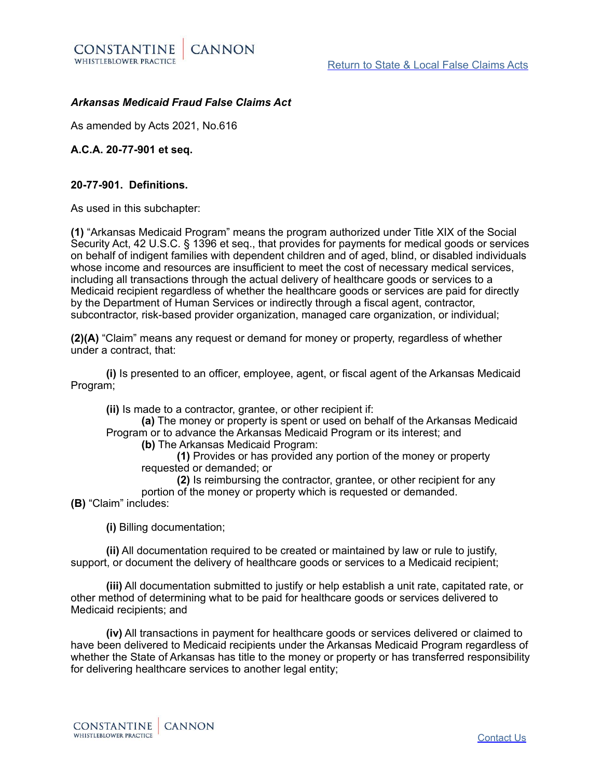

# *Arkansas Medicaid Fraud False Claims Act*

As amended by Acts 2021, No.616

**A.C.A. 20-77-901 et seq.** 

# **20-77-901. Definitions.**

As used in this subchapter:

**(1)** "Arkansas Medicaid Program" means the program authorized under Title XIX of the Social Security Act, 42 U.S.C. § 1396 et seq., that provides for payments for medical goods or services on behalf of indigent families with dependent children and of aged, blind, or disabled individuals whose income and resources are insufficient to meet the cost of necessary medical services, including all transactions through the actual delivery of healthcare goods or services to a Medicaid recipient regardless of whether the healthcare goods or services are paid for directly by the Department of Human Services or indirectly through a fiscal agent, contractor, subcontractor, risk-based provider organization, managed care organization, or individual;

**(2)(A)** "Claim" means any request or demand for money or property, regardless of whether under a contract, that:

**(i)** Is presented to an officer, employee, agent, or fiscal agent of the Arkansas Medicaid Program;

**(ii)** Is made to a contractor, grantee, or other recipient if:

**(a)** The money or property is spent or used on behalf of the Arkansas Medicaid Program or to advance the Arkansas Medicaid Program or its interest; and

**(b)** The Arkansas Medicaid Program:

**(1)** Provides or has provided any portion of the money or property requested or demanded; or

**(2)** Is reimbursing the contractor, grantee, or other recipient for any portion of the money or property which is requested or demanded. **(B)** "Claim" includes:

**(i)** Billing documentation;

**(ii)** All documentation required to be created or maintained by law or rule to justify, support, or document the delivery of healthcare goods or services to a Medicaid recipient;

**(iii)** All documentation submitted to justify or help establish a unit rate, capitated rate, or other method of determining what to be paid for healthcare goods or services delivered to Medicaid recipients; and

**(iv)** All transactions in payment for healthcare goods or services delivered or claimed to have been delivered to Medicaid recipients under the Arkansas Medicaid Program regardless of whether the State of Arkansas has title to the money or property or has transferred responsibility for delivering healthcare services to another legal entity;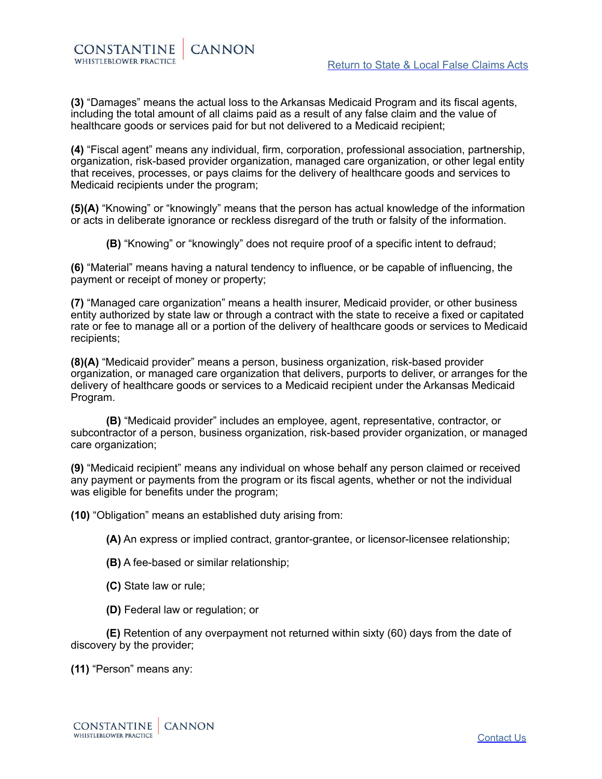**(3)** "Damages" means the actual loss to the Arkansas Medicaid Program and its fiscal agents, including the total amount of all claims paid as a result of any false claim and the value of healthcare goods or services paid for but not delivered to a Medicaid recipient;

**(4)** "Fiscal agent" means any individual, firm, corporation, professional association, partnership, organization, risk-based provider organization, managed care organization, or other legal entity that receives, processes, or pays claims for the delivery of healthcare goods and services to Medicaid recipients under the program;

**(5)(A)** "Knowing" or "knowingly" means that the person has actual knowledge of the information or acts in deliberate ignorance or reckless disregard of the truth or falsity of the information.

**(B)** "Knowing" or "knowingly" does not require proof of a specific intent to defraud;

**(6)** "Material" means having a natural tendency to influence, or be capable of influencing, the payment or receipt of money or property;

**(7)** "Managed care organization" means a health insurer, Medicaid provider, or other business entity authorized by state law or through a contract with the state to receive a fixed or capitated rate or fee to manage all or a portion of the delivery of healthcare goods or services to Medicaid recipients;

**(8)(A)** "Medicaid provider" means a person, business organization, risk-based provider organization, or managed care organization that delivers, purports to deliver, or arranges for the delivery of healthcare goods or services to a Medicaid recipient under the Arkansas Medicaid Program.

**(B)** "Medicaid provider" includes an employee, agent, representative, contractor, or subcontractor of a person, business organization, risk-based provider organization, or managed care organization;

**(9)** "Medicaid recipient" means any individual on whose behalf any person claimed or received any payment or payments from the program or its fiscal agents, whether or not the individual was eligible for benefits under the program;

**(10)** "Obligation" means an established duty arising from:

**(A)** An express or implied contract, grantor-grantee, or licensor-licensee relationship;

- **(B)** A fee-based or similar relationship;
- **(C)** State law or rule;
- **(D)** Federal law or regulation; or

**(E)** Retention of any overpayment not returned within sixty (60) days from the date of discovery by the provider;

**(11)** "Person" means any: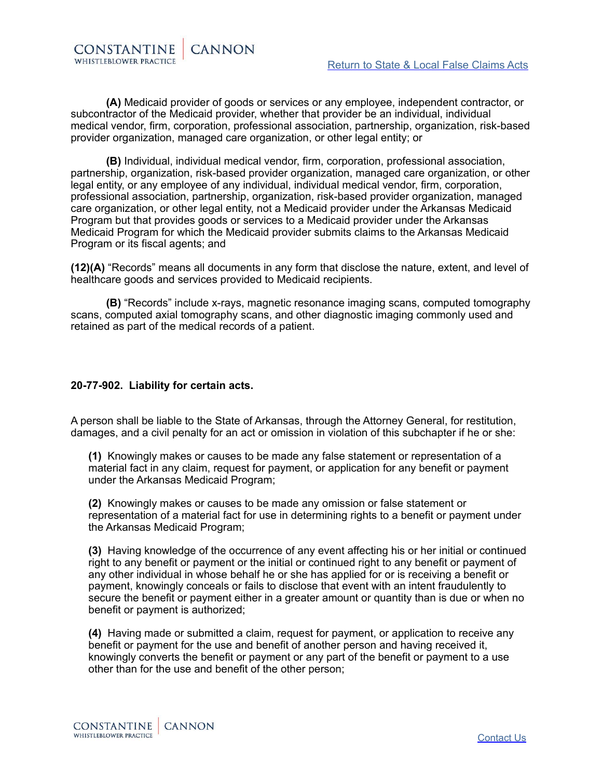CONSTANTINE **CANNON** WHISTLEBLOWER PRACTICE

**(A)** Medicaid provider of goods or services or any employee, independent contractor, or subcontractor of the Medicaid provider, whether that provider be an individual, individual medical vendor, firm, corporation, professional association, partnership, organization, risk-based provider organization, managed care organization, or other legal entity; or

**(B)** Individual, individual medical vendor, firm, corporation, professional association, partnership, organization, risk-based provider organization, managed care organization, or other legal entity, or any employee of any individual, individual medical vendor, firm, corporation, professional association, partnership, organization, risk-based provider organization, managed care organization, or other legal entity, not a Medicaid provider under the Arkansas Medicaid Program but that provides goods or services to a Medicaid provider under the Arkansas Medicaid Program for which the Medicaid provider submits claims to the Arkansas Medicaid Program or its fiscal agents; and

**(12)(A)** "Records" means all documents in any form that disclose the nature, extent, and level of healthcare goods and services provided to Medicaid recipients.

**(B)** "Records" include x-rays, magnetic resonance imaging scans, computed tomography scans, computed axial tomography scans, and other diagnostic imaging commonly used and retained as part of the medical records of a patient.

# **20-77-902. Liability for certain acts.**

A person shall be liable to the State of Arkansas, through the Attorney General, for restitution, damages, and a civil penalty for an act or omission in violation of this subchapter if he or she:

**(1)** Knowingly makes or causes to be made any false statement or representation of a material fact in any claim, request for payment, or application for any benefit or payment under the Arkansas Medicaid Program;

**(2)** Knowingly makes or causes to be made any omission or false statement or representation of a material fact for use in determining rights to a benefit or payment under the Arkansas Medicaid Program;

**(3)** Having knowledge of the occurrence of any event affecting his or her initial or continued right to any benefit or payment or the initial or continued right to any benefit or payment of any other individual in whose behalf he or she has applied for or is receiving a benefit or payment, knowingly conceals or fails to disclose that event with an intent fraudulently to secure the benefit or payment either in a greater amount or quantity than is due or when no benefit or payment is authorized;

**(4)** Having made or submitted a claim, request for payment, or application to receive any benefit or payment for the use and benefit of another person and having received it, knowingly converts the benefit or payment or any part of the benefit or payment to a use other than for the use and benefit of the other person;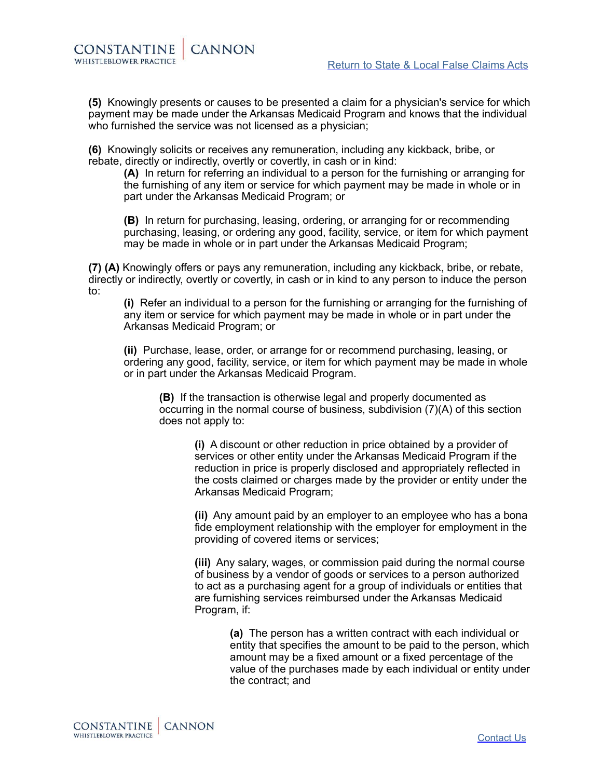**(5)** Knowingly presents or causes to be presented a claim for a physician's service for which payment may be made under the Arkansas Medicaid Program and knows that the individual who furnished the service was not licensed as a physician;

**(6)** Knowingly solicits or receives any remuneration, including any kickback, bribe, or rebate, directly or indirectly, overtly or covertly, in cash or in kind:

**(A)** In return for referring an individual to a person for the furnishing or arranging for the furnishing of any item or service for which payment may be made in whole or in part under the Arkansas Medicaid Program; or

**(B)** In return for purchasing, leasing, ordering, or arranging for or recommending purchasing, leasing, or ordering any good, facility, service, or item for which payment may be made in whole or in part under the Arkansas Medicaid Program;

**(7) (A)** Knowingly offers or pays any remuneration, including any kickback, bribe, or rebate, directly or indirectly, overtly or covertly, in cash or in kind to any person to induce the person to:

**(i)** Refer an individual to a person for the furnishing or arranging for the furnishing of any item or service for which payment may be made in whole or in part under the Arkansas Medicaid Program; or

**(ii)** Purchase, lease, order, or arrange for or recommend purchasing, leasing, or ordering any good, facility, service, or item for which payment may be made in whole or in part under the Arkansas Medicaid Program.

**(B)** If the transaction is otherwise legal and properly documented as occurring in the normal course of business, subdivision (7)(A) of this section does not apply to:

**(i)** A discount or other reduction in price obtained by a provider of services or other entity under the Arkansas Medicaid Program if the reduction in price is properly disclosed and appropriately reflected in the costs claimed or charges made by the provider or entity under the Arkansas Medicaid Program;

**(ii)** Any amount paid by an employer to an employee who has a bona fide employment relationship with the employer for employment in the providing of covered items or services;

**(iii)** Any salary, wages, or commission paid during the normal course of business by a vendor of goods or services to a person authorized to act as a purchasing agent for a group of individuals or entities that are furnishing services reimbursed under the Arkansas Medicaid Program, if:

> **(a)** The person has a written contract with each individual or entity that specifies the amount to be paid to the person, which amount may be a fixed amount or a fixed percentage of the value of the purchases made by each individual or entity under the contract; and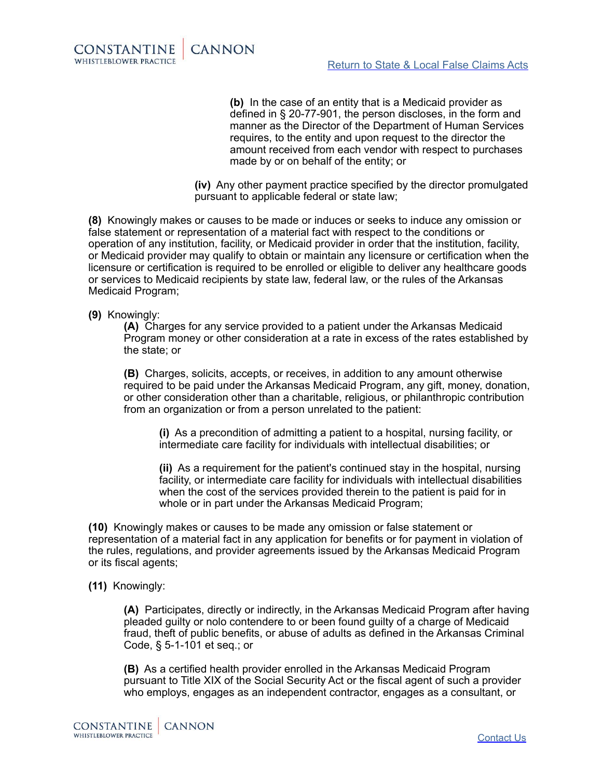

**(b)** In the case of an entity that is a Medicaid provider as defined in § 20-77-901, the person discloses, in the form and manner as the Director of the Department of Human Services requires, to the entity and upon request to the director the amount received from each vendor with respect to purchases made by or on behalf of the entity; or

**(iv)** Any other payment practice specified by the director promulgated pursuant to applicable federal or state law;

**(8)** Knowingly makes or causes to be made or induces or seeks to induce any omission or false statement or representation of a material fact with respect to the conditions or operation of any institution, facility, or Medicaid provider in order that the institution, facility, or Medicaid provider may qualify to obtain or maintain any licensure or certification when the licensure or certification is required to be enrolled or eligible to deliver any healthcare goods or services to Medicaid recipients by state law, federal law, or the rules of the Arkansas Medicaid Program;

# **(9)** Knowingly:

**(A)** Charges for any service provided to a patient under the Arkansas Medicaid Program money or other consideration at a rate in excess of the rates established by the state; or

**(B)** Charges, solicits, accepts, or receives, in addition to any amount otherwise required to be paid under the Arkansas Medicaid Program, any gift, money, donation, or other consideration other than a charitable, religious, or philanthropic contribution from an organization or from a person unrelated to the patient:

**(i)** As a precondition of admitting a patient to a hospital, nursing facility, or intermediate care facility for individuals with intellectual disabilities; or

**(ii)** As a requirement for the patient's continued stay in the hospital, nursing facility, or intermediate care facility for individuals with intellectual disabilities when the cost of the services provided therein to the patient is paid for in whole or in part under the Arkansas Medicaid Program;

**(10)** Knowingly makes or causes to be made any omission or false statement or representation of a material fact in any application for benefits or for payment in violation of the rules, regulations, and provider agreements issued by the Arkansas Medicaid Program or its fiscal agents;

**(11)** Knowingly:

**(A)** Participates, directly or indirectly, in the Arkansas Medicaid Program after having pleaded guilty or nolo contendere to or been found guilty of a charge of Medicaid fraud, theft of public benefits, or abuse of adults as defined in the Arkansas Criminal Code, § 5-1-101 et seq.; or

**(B)** As a certified health provider enrolled in the Arkansas Medicaid Program pursuant to Title XIX of the Social Security Act or the fiscal agent of such a provider who employs, engages as an independent contractor, engages as a consultant, or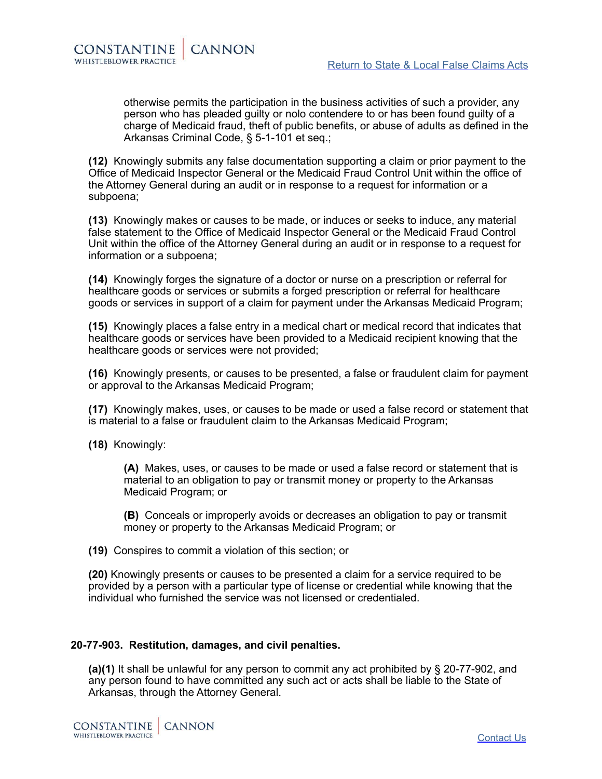otherwise permits the participation in the business activities of such a provider, any person who has pleaded guilty or nolo contendere to or has been found guilty of a charge of Medicaid fraud, theft of public benefits, or abuse of adults as defined in the Arkansas Criminal Code, § 5-1-101 et seq.;

**(12)** Knowingly submits any false documentation supporting a claim or prior payment to the Office of Medicaid Inspector General or the Medicaid Fraud Control Unit within the office of the Attorney General during an audit or in response to a request for information or a subpoena;

**(13)** Knowingly makes or causes to be made, or induces or seeks to induce, any material false statement to the Office of Medicaid Inspector General or the Medicaid Fraud Control Unit within the office of the Attorney General during an audit or in response to a request for information or a subpoena;

**(14)** Knowingly forges the signature of a doctor or nurse on a prescription or referral for healthcare goods or services or submits a forged prescription or referral for healthcare goods or services in support of a claim for payment under the Arkansas Medicaid Program;

**(15)** Knowingly places a false entry in a medical chart or medical record that indicates that healthcare goods or services have been provided to a Medicaid recipient knowing that the healthcare goods or services were not provided;

**(16)** Knowingly presents, or causes to be presented, a false or fraudulent claim for payment or approval to the Arkansas Medicaid Program;

**(17)** Knowingly makes, uses, or causes to be made or used a false record or statement that is material to a false or fraudulent claim to the Arkansas Medicaid Program;

**(18)** Knowingly:

**(A)** Makes, uses, or causes to be made or used a false record or statement that is material to an obligation to pay or transmit money or property to the Arkansas Medicaid Program; or

**(B)** Conceals or improperly avoids or decreases an obligation to pay or transmit money or property to the Arkansas Medicaid Program; or

**(19)** Conspires to commit a violation of this section; or

**(20)** Knowingly presents or causes to be presented a claim for a service required to be provided by a person with a particular type of license or credential while knowing that the individual who furnished the service was not licensed or credentialed.

### **20-77-903. Restitution, damages, and civil penalties.**

**(a)(1)** It shall be unlawful for any person to commit any act prohibited by § 20-77-902, and any person found to have committed any such act or acts shall be liable to the State of Arkansas, through the Attorney General.

CONSTANTINE **CANNON** WHISTLEBLOWER PRACTICE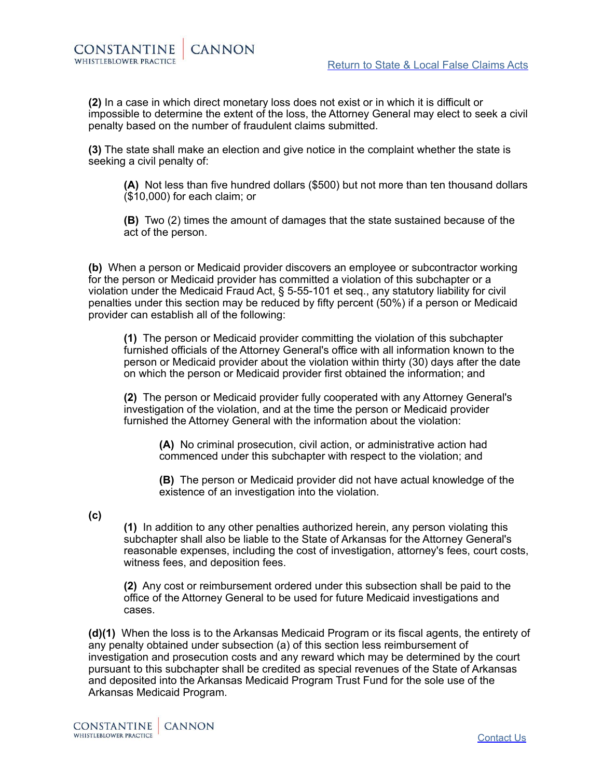**(2)** In a case in which direct monetary loss does not exist or in which it is difficult or impossible to determine the extent of the loss, the Attorney General may elect to seek a civil penalty based on the number of fraudulent claims submitted.

**(3)** The state shall make an election and give notice in the complaint whether the state is seeking a civil penalty of:

**(A)** Not less than five hundred dollars (\$500) but not more than ten thousand dollars (\$10,000) for each claim; or

**(B)** Two (2) times the amount of damages that the state sustained because of the act of the person.

**(b)** When a person or Medicaid provider discovers an employee or subcontractor working for the person or Medicaid provider has committed a violation of this subchapter or a violation under the Medicaid Fraud Act, § 5-55-101 et seq., any statutory liability for civil penalties under this section may be reduced by fifty percent (50%) if a person or Medicaid provider can establish all of the following:

**(1)** The person or Medicaid provider committing the violation of this subchapter furnished officials of the Attorney General's office with all information known to the person or Medicaid provider about the violation within thirty (30) days after the date on which the person or Medicaid provider first obtained the information; and

**(2)** The person or Medicaid provider fully cooperated with any Attorney General's investigation of the violation, and at the time the person or Medicaid provider furnished the Attorney General with the information about the violation:

**(A)** No criminal prosecution, civil action, or administrative action had commenced under this subchapter with respect to the violation; and

**(B)** The person or Medicaid provider did not have actual knowledge of the existence of an investigation into the violation.

**(c)**

**(1)** In addition to any other penalties authorized herein, any person violating this subchapter shall also be liable to the State of Arkansas for the Attorney General's reasonable expenses, including the cost of investigation, attorney's fees, court costs, witness fees, and deposition fees.

**(2)** Any cost or reimbursement ordered under this subsection shall be paid to the office of the Attorney General to be used for future Medicaid investigations and cases.

**(d)(1)** When the loss is to the Arkansas Medicaid Program or its fiscal agents, the entirety of any penalty obtained under subsection (a) of this section less reimbursement of investigation and prosecution costs and any reward which may be determined by the court pursuant to this subchapter shall be credited as special revenues of the State of Arkansas and deposited into the Arkansas Medicaid Program Trust Fund for the sole use of the Arkansas Medicaid Program.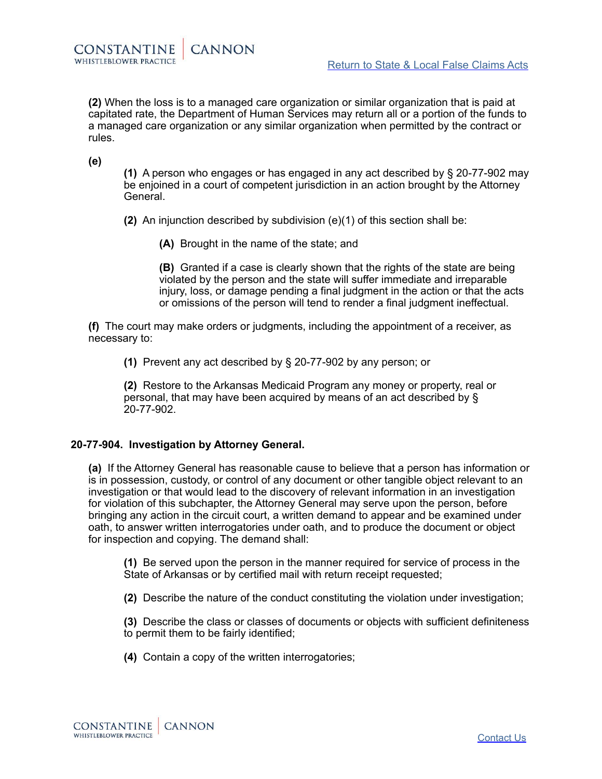**(2)** When the loss is to a managed care organization or similar organization that is paid at capitated rate, the Department of Human Services may return all or a portion of the funds to a managed care organization or any similar organization when permitted by the contract or rules.

**(e)**

**(1)** A person who engages or has engaged in any act described by § 20-77-902 may be enjoined in a court of competent jurisdiction in an action brought by the Attorney General.

**(2)** An injunction described by subdivision (e)(1) of this section shall be:

**(A)** Brought in the name of the state; and

**(B)** Granted if a case is clearly shown that the rights of the state are being violated by the person and the state will suffer immediate and irreparable injury, loss, or damage pending a final judgment in the action or that the acts or omissions of the person will tend to render a final judgment ineffectual.

**(f)** The court may make orders or judgments, including the appointment of a receiver, as necessary to:

**(1)** Prevent any act described by § 20-77-902 by any person; or

**(2)** Restore to the Arkansas Medicaid Program any money or property, real or personal, that may have been acquired by means of an act described by § 20-77-902.

### **20-77-904. Investigation by Attorney General.**

**(a)** If the Attorney General has reasonable cause to believe that a person has information or is in possession, custody, or control of any document or other tangible object relevant to an investigation or that would lead to the discovery of relevant information in an investigation for violation of this subchapter, the Attorney General may serve upon the person, before bringing any action in the circuit court, a written demand to appear and be examined under oath, to answer written interrogatories under oath, and to produce the document or object for inspection and copying. The demand shall:

**(1)** Be served upon the person in the manner required for service of process in the State of Arkansas or by certified mail with return receipt requested;

**(2)** Describe the nature of the conduct constituting the violation under investigation;

**(3)** Describe the class or classes of documents or objects with sufficient definiteness to permit them to be fairly identified;

**(4)** Contain a copy of the written interrogatories;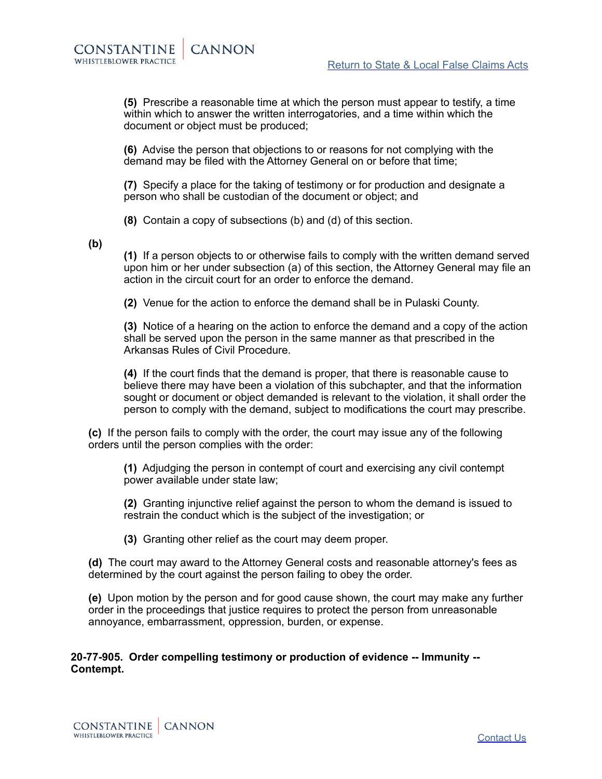**(5)** Prescribe a reasonable time at which the person must appear to testify, a time within which to answer the written interrogatories, and a time within which the document or object must be produced;

**(6)** Advise the person that objections to or reasons for not complying with the demand may be filed with the Attorney General on or before that time;

**(7)** Specify a place for the taking of testimony or for production and designate a person who shall be custodian of the document or object; and

**(8)** Contain a copy of subsections (b) and (d) of this section.

**(b)**

**(1)** If a person objects to or otherwise fails to comply with the written demand served upon him or her under subsection (a) of this section, the Attorney General may file an action in the circuit court for an order to enforce the demand.

**(2)** Venue for the action to enforce the demand shall be in Pulaski County.

**(3)** Notice of a hearing on the action to enforce the demand and a copy of the action shall be served upon the person in the same manner as that prescribed in the Arkansas Rules of Civil Procedure.

**(4)** If the court finds that the demand is proper, that there is reasonable cause to believe there may have been a violation of this subchapter, and that the information sought or document or object demanded is relevant to the violation, it shall order the person to comply with the demand, subject to modifications the court may prescribe.

**(c)** If the person fails to comply with the order, the court may issue any of the following orders until the person complies with the order:

**(1)** Adjudging the person in contempt of court and exercising any civil contempt power available under state law;

**(2)** Granting injunctive relief against the person to whom the demand is issued to restrain the conduct which is the subject of the investigation; or

**(3)** Granting other relief as the court may deem proper.

**(d)** The court may award to the Attorney General costs and reasonable attorney's fees as determined by the court against the person failing to obey the order.

**(e)** Upon motion by the person and for good cause shown, the court may make any further order in the proceedings that justice requires to protect the person from unreasonable annoyance, embarrassment, oppression, burden, or expense.

**20-77-905. Order compelling testimony or production of evidence -- Immunity -- Contempt.**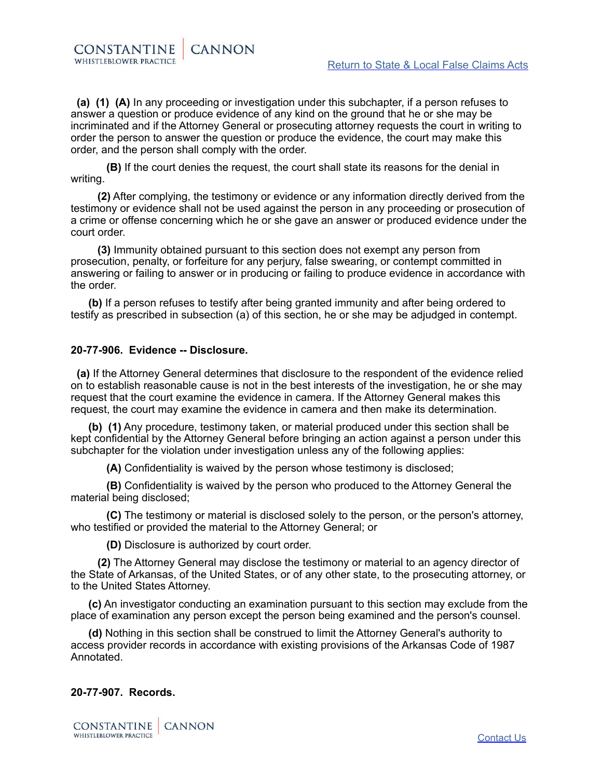**(a) (1) (A)** In any proceeding or investigation under this subchapter, if a person refuses to answer a question or produce evidence of any kind on the ground that he or she may be incriminated and if the Attorney General or prosecuting attorney requests the court in writing to order the person to answer the question or produce the evidence, the court may make this order, and the person shall comply with the order.

 **(B)** If the court denies the request, the court shall state its reasons for the denial in writing.

**CANNON** 

 **(2)** After complying, the testimony or evidence or any information directly derived from the testimony or evidence shall not be used against the person in any proceeding or prosecution of a crime or offense concerning which he or she gave an answer or produced evidence under the court order.

 **(3)** Immunity obtained pursuant to this section does not exempt any person from prosecution, penalty, or forfeiture for any perjury, false swearing, or contempt committed in answering or failing to answer or in producing or failing to produce evidence in accordance with the order.

**(b)** If a person refuses to testify after being granted immunity and after being ordered to testify as prescribed in subsection (a) of this section, he or she may be adjudged in contempt.

# **20-77-906. Evidence -- Disclosure.**

CONSTANTINE

WHISTLEBLOWER PRACTICE

 **(a)** If the Attorney General determines that disclosure to the respondent of the evidence relied on to establish reasonable cause is not in the best interests of the investigation, he or she may request that the court examine the evidence in camera. If the Attorney General makes this request, the court may examine the evidence in camera and then make its determination.

**(b) (1)** Any procedure, testimony taken, or material produced under this section shall be kept confidential by the Attorney General before bringing an action against a person under this subchapter for the violation under investigation unless any of the following applies:

**(A)** Confidentiality is waived by the person whose testimony is disclosed;

 **(B)** Confidentiality is waived by the person who produced to the Attorney General the material being disclosed;

 **(C)** The testimony or material is disclosed solely to the person, or the person's attorney, who testified or provided the material to the Attorney General; or

**(D)** Disclosure is authorized by court order.

 **(2)** The Attorney General may disclose the testimony or material to an agency director of the State of Arkansas, of the United States, or of any other state, to the prosecuting attorney, or to the United States Attorney.

**(c)** An investigator conducting an examination pursuant to this section may exclude from the place of examination any person except the person being examined and the person's counsel.

**(d)** Nothing in this section shall be construed to limit the Attorney General's authority to access provider records in accordance with existing provisions of the Arkansas Code of 1987 Annotated.

#### **20-77-907. Records.**

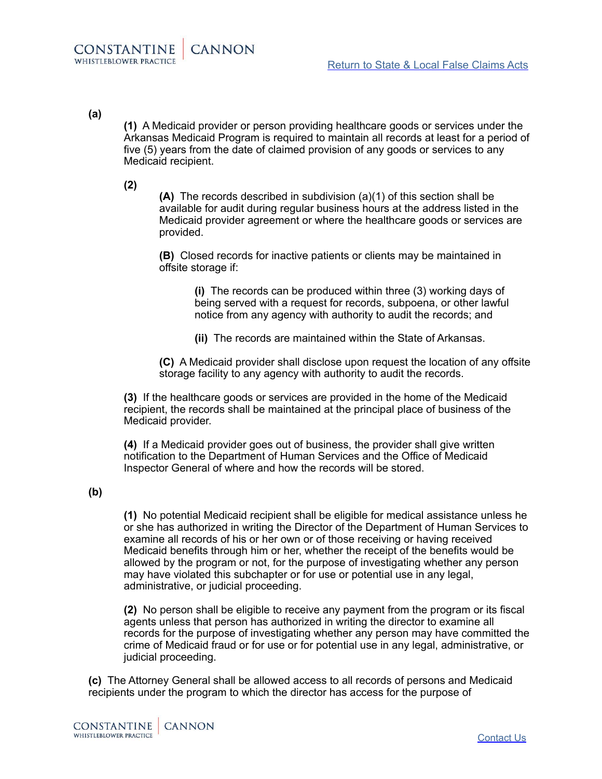# **(a)**

**(1)** A Medicaid provider or person providing healthcare goods or services under the Arkansas Medicaid Program is required to maintain all records at least for a period of five (5) years from the date of claimed provision of any goods or services to any Medicaid recipient.

**(2)**

**(A)** The records described in subdivision (a)(1) of this section shall be available for audit during regular business hours at the address listed in the Medicaid provider agreement or where the healthcare goods or services are provided.

**(B)** Closed records for inactive patients or clients may be maintained in offsite storage if:

> **(i)** The records can be produced within three (3) working days of being served with a request for records, subpoena, or other lawful notice from any agency with authority to audit the records; and

**(ii)** The records are maintained within the State of Arkansas.

**(C)** A Medicaid provider shall disclose upon request the location of any offsite storage facility to any agency with authority to audit the records.

**(3)** If the healthcare goods or services are provided in the home of the Medicaid recipient, the records shall be maintained at the principal place of business of the Medicaid provider.

**(4)** If a Medicaid provider goes out of business, the provider shall give written notification to the Department of Human Services and the Office of Medicaid Inspector General of where and how the records will be stored.

# **(b)**

**(1)** No potential Medicaid recipient shall be eligible for medical assistance unless he or she has authorized in writing the Director of the Department of Human Services to examine all records of his or her own or of those receiving or having received Medicaid benefits through him or her, whether the receipt of the benefits would be allowed by the program or not, for the purpose of investigating whether any person may have violated this subchapter or for use or potential use in any legal, administrative, or judicial proceeding.

**(2)** No person shall be eligible to receive any payment from the program or its fiscal agents unless that person has authorized in writing the director to examine all records for the purpose of investigating whether any person may have committed the crime of Medicaid fraud or for use or for potential use in any legal, administrative, or judicial proceeding.

**(c)** The Attorney General shall be allowed access to all records of persons and Medicaid recipients under the program to which the director has access for the purpose of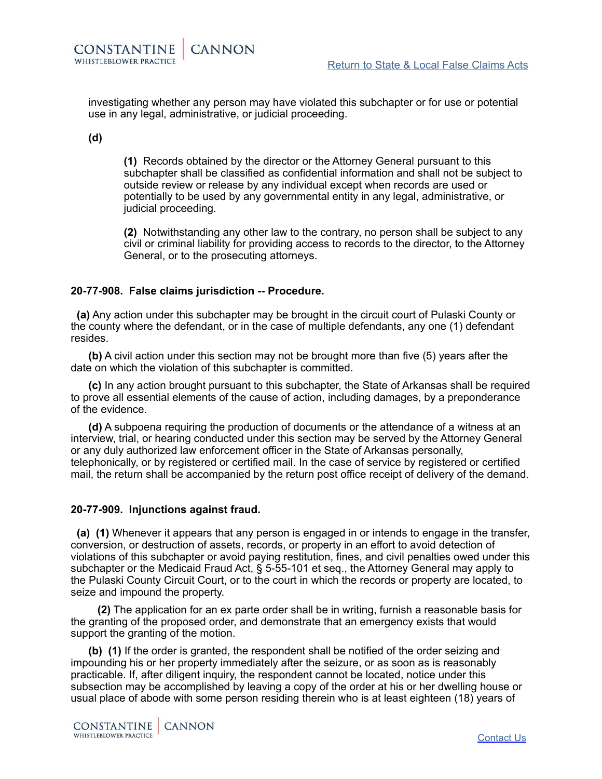investigating whether any person may have violated this subchapter or for use or potential use in any legal, administrative, or judicial proceeding.

#### **(d)**

**(1)** Records obtained by the director or the Attorney General pursuant to this subchapter shall be classified as confidential information and shall not be subject to outside review or release by any individual except when records are used or potentially to be used by any governmental entity in any legal, administrative, or judicial proceeding.

**(2)** Notwithstanding any other law to the contrary, no person shall be subject to any civil or criminal liability for providing access to records to the director, to the Attorney General, or to the prosecuting attorneys.

### **20-77-908. False claims jurisdiction -- Procedure.**

 **(a)** Any action under this subchapter may be brought in the circuit court of Pulaski County or the county where the defendant, or in the case of multiple defendants, any one (1) defendant resides.

**(b)** A civil action under this section may not be brought more than five (5) years after the date on which the violation of this subchapter is committed.

**(c)** In any action brought pursuant to this subchapter, the State of Arkansas shall be required to prove all essential elements of the cause of action, including damages, by a preponderance of the evidence.

**(d)** A subpoena requiring the production of documents or the attendance of a witness at an interview, trial, or hearing conducted under this section may be served by the Attorney General or any duly authorized law enforcement officer in the State of Arkansas personally, telephonically, or by registered or certified mail. In the case of service by registered or certified mail, the return shall be accompanied by the return post office receipt of delivery of the demand.

#### **20-77-909. Injunctions against fraud.**

 **(a) (1)** Whenever it appears that any person is engaged in or intends to engage in the transfer, conversion, or destruction of assets, records, or property in an effort to avoid detection of violations of this subchapter or avoid paying restitution, fines, and civil penalties owed under this subchapter or the Medicaid Fraud Act, § 5-55-101 et seq., the Attorney General may apply to the Pulaski County Circuit Court, or to the court in which the records or property are located, to seize and impound the property.

 **(2)** The application for an ex parte order shall be in writing, furnish a reasonable basis for the granting of the proposed order, and demonstrate that an emergency exists that would support the granting of the motion.

**(b) (1)** If the order is granted, the respondent shall be notified of the order seizing and impounding his or her property immediately after the seizure, or as soon as is reasonably practicable. If, after diligent inquiry, the respondent cannot be located, notice under this subsection may be accomplished by leaving a copy of the order at his or her dwelling house or usual place of abode with some person residing therein who is at least eighteen (18) years of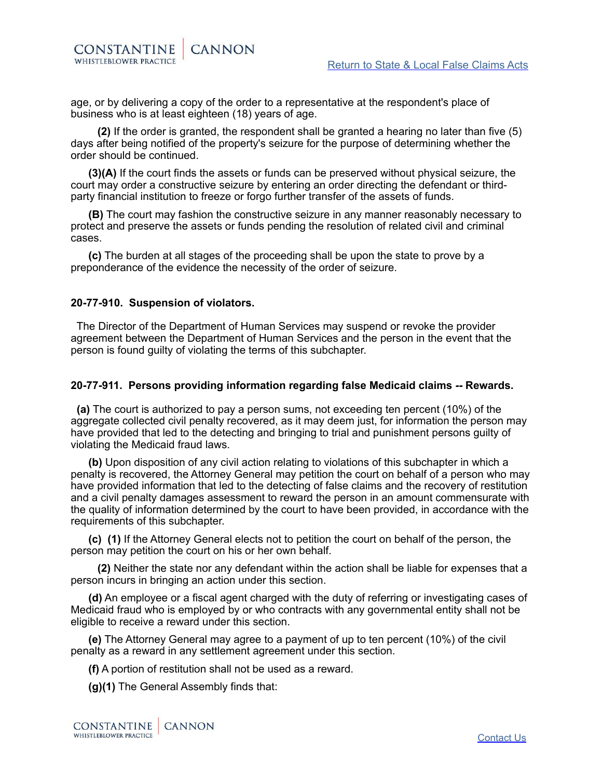age, or by delivering a copy of the order to a representative at the respondent's place of business who is at least eighteen (18) years of age.

 **(2)** If the order is granted, the respondent shall be granted a hearing no later than five (5) days after being notified of the property's seizure for the purpose of determining whether the order should be continued.

**(3)(A)** If the court finds the assets or funds can be preserved without physical seizure, the court may order a constructive seizure by entering an order directing the defendant or thirdparty financial institution to freeze or forgo further transfer of the assets of funds.

**(B)** The court may fashion the constructive seizure in any manner reasonably necessary to protect and preserve the assets or funds pending the resolution of related civil and criminal cases.

**(c)** The burden at all stages of the proceeding shall be upon the state to prove by a preponderance of the evidence the necessity of the order of seizure.

# **20-77-910. Suspension of violators.**

 The Director of the Department of Human Services may suspend or revoke the provider agreement between the Department of Human Services and the person in the event that the person is found guilty of violating the terms of this subchapter.

### **20-77-911. Persons providing information regarding false Medicaid claims -- Rewards.**

 **(a)** The court is authorized to pay a person sums, not exceeding ten percent (10%) of the aggregate collected civil penalty recovered, as it may deem just, for information the person may have provided that led to the detecting and bringing to trial and punishment persons guilty of violating the Medicaid fraud laws.

**(b)** Upon disposition of any civil action relating to violations of this subchapter in which a penalty is recovered, the Attorney General may petition the court on behalf of a person who may have provided information that led to the detecting of false claims and the recovery of restitution and a civil penalty damages assessment to reward the person in an amount commensurate with the quality of information determined by the court to have been provided, in accordance with the requirements of this subchapter.

**(c) (1)** If the Attorney General elects not to petition the court on behalf of the person, the person may petition the court on his or her own behalf.

 **(2)** Neither the state nor any defendant within the action shall be liable for expenses that a person incurs in bringing an action under this section.

**(d)** An employee or a fiscal agent charged with the duty of referring or investigating cases of Medicaid fraud who is employed by or who contracts with any governmental entity shall not be eligible to receive a reward under this section.

**(e)** The Attorney General may agree to a payment of up to ten percent (10%) of the civil penalty as a reward in any settlement agreement under this section.

**(f)** A portion of restitution shall not be used as a reward.

**(g)(1)** The General Assembly finds that: